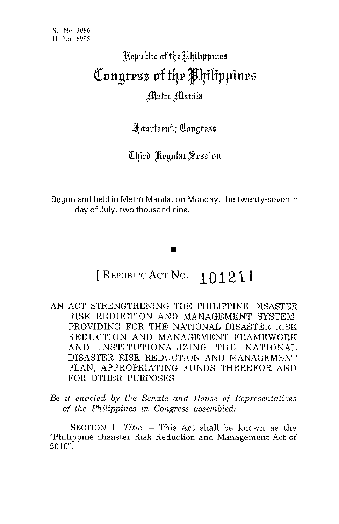## /Rrpuhlic oftqr 1I'4ilippines **(fllIltBrCSS lIf f4C J4iHppiltC£**  Metro Manila

**Fourteenth Congress** 

Third Regular Session

Begun and held in Metro Manila, on Monday, the twenty-seventh day of July, two thousand nine.

## I REPUBLIC ACT No. **101211**

- --4-----

- AN ACT STRENGTHENING THE PHILIPPINE DISASTER RISK REDUCTION AND MANAGEMENT SYSTEM. PROVIDING FOR THE NATIONAL DISASTER RISK REDUCTION AND MANAGEMENT FRAMEWORK AND INSTITUTIONALIZING THE NATIONAL DISASTER RISK REDUCTION AND MANAGEMENT PLAN, APPROPRIATING FUNDS THEREFOR AND FOR OTHER PURPOSES
- *Be it enacted by the Senate and House of Representatives*  of the Philippines in Congress assembled:

SECTION 1. *Title.* - This Act shall be known as the ''Philippine Disaster Risk Reduction and Management Act of 2010".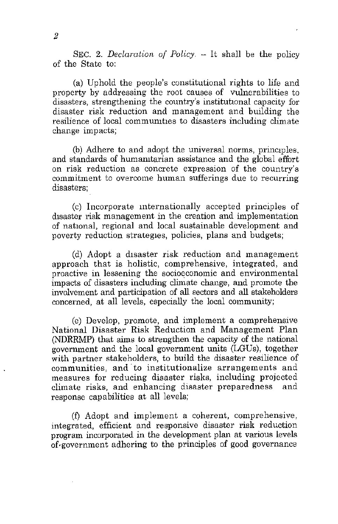SEC. 2. *Declaration of Policy.* - It shall be the policy of the State to:

(a) Uphold the people's constitutional rights to life and property by addressing the root causes of vulnerabilities to disasters, strengthening the country's institutional capacity for disaster risk reduction and management and building the resilience of local communities to disasters including climate change impacts;

(b) Adhere to and adopt the universal norms, principles. and standards of humamtarian assistance and the global effort **on risk reduction as concrete expression of the country's commitment to overcome human sufferings due to recurring**  disasters;

(c) Incorporate mternationally accepted principles of disaster risk management in the creation and implementation of national, regional and local sustainable development and poverty reduction strategles, policies, plans and budgets;

(d) Adopt a disaster risk reduction and management approach that is holistic, comprehensive, integrated, and proactive in lessening the socioeconomic and environmental impacts of disasters including climate change, and promote the involvement and participation of all sectors and all stakeholders concerned, at all levels, especially the local community;

(e) Develop, promote, and implement a comprehensive National Disaster Risk Reduction and Management Plan (NDRRMP) that aims to strengthen the capacity of the national government and the local government units (LGUs), together with partner stakeholders, to build the disaster resilience of communities, and' to institutionalize arrangements and measures for reducing disaster risks, including projected climate risks, and enhancing disaster preparedness and response capabilities at all levels;

(f) Adopt and implement a coherent, comprehensive, integrated, efficient and responsive disaster risk reduction program incorporated in the development plan at various levels of'government adhering to the principles of good governance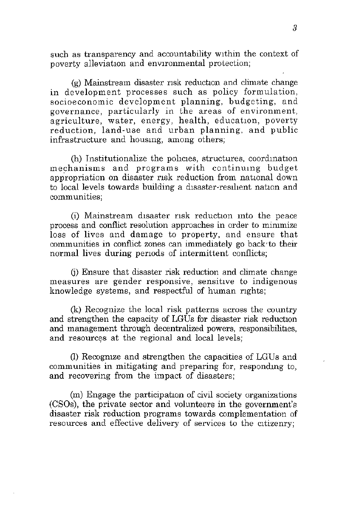such as transparency and accountability within the context of poverty alleviation and environmental protection;

(g) Mainstream disaster risk reduction and climate change in development processes such as policy formulation, socioeconomic development planning, budgeting, and **governance, particularly in the areas of environment,**  agriculture, water, energy, health, education, poverty reduction, land-use and urban planning, and public infrastructure and housmg, among others;

(h) Institutionalize the policies, structures, coordination mechanisms and programs with continumg budget appropriation on disaster risk reduction from national down to local levels towards building a disaster-resilient nation and  $comm$  unities;

(i) Mainstream disaster risk reduction into the peace **process and conflict resolution approaches in order to mirumize**  loss of lives and damage to property, and ensure that communities in conflict zones can immediately go back to their normal lives during periods of intermittent conflicts;

(i) Ensure that disaster risk reduction and climate change **measures are gender responsive, sensitIve to indigenous**  knowledge systems, and respectful of human rights;

(k) Recognize the local risk patterns across the country and strengthen the capacity of LGUs for disaster risk reduction and management through decentralized powers, responsibilities, and resources at the regional and local levels;

(I) Recogmze and strengthen the capacities of LGUs and communities in mitigating and preparing for, respondmg to, and recovering from the impact of disasters;

(m) Engage the participatlon of civil society organizations (eSOs), the private sector and volunteers in the government's disaster risk reduction programs towards complementation of resources and effective delivery of services to the citizenry;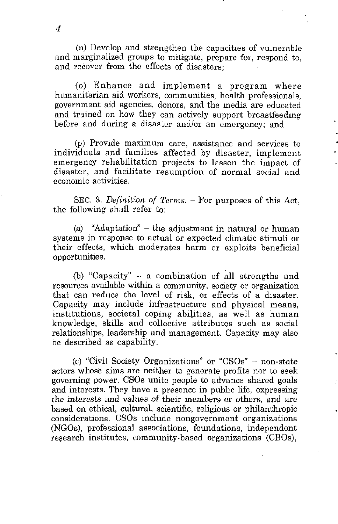(n) Develop and strengthen the capacities of vulnerable and marginalized groups to mitigate, prepare for, respond to, and recover from the effects of disasters;

(0) Enhance and implement a program where humanitarian aid workers, communities, health professionals, government aid agencies, donors, and the media are educated and trained on how they can actively support breastfeeding before and during a disaster andlor an emergency; and

(P) Provide maximum care, assistance and services to individuals and families affected by disaster, implement emergency rehabilitation projects to lessen the impact of disaster, and facilitate resumption of normal social and **economic activities.** 

SEC. 3. *Definition of Terms.* - For purposes of this Act, the following shall refer to:

(a) "Adaptation" - the adjustment in natural or human systems in response to actual or expected climatic stimuli or their effects, which moderates harm or exploits beneficial opportunities.

(b) "Capacity" - a combination of **all** strengths and **resources available within a community, society or organization**  that can reduce the level of risk, or effects of a disaster. Capacity may include infrastructure and physical means, institutions, societal coping abilities, as well as human knowledge, skills and collective attributes such as social relationships, leadership and management. Capacity may also be described as capability.

(c) "Civil Society Organizations" Or "CSOs" - non-state actors whose aims are neither to generate profits nor to seek governing power. CSOs unite people to advance shared goals and interests. They have a presence in public life, expressing the interests and values of their members or others, and are based on ethical, cultural, scientific, religious or philanthropic considerations. CSOs include nongovernment organizations (NGOs), professional associations, foundations, independent research institutes, community-based organizations (CBOs),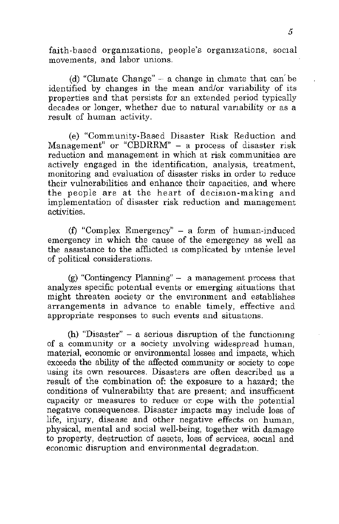faith-based organizations, people's organizations, social movements, and labor unions.

(d) "Climate Change"  $-$  a change in climate that can be identified by changes in the mean and/or variability of its properties and that persists for an extended period typically decades or longer, whether due to natural variability or as a result of human activity,

(e) "Community-Based Disaster Risk Reduction and Management" or "CBDRRM" - a process of disaster risk **reduction and management in which at risk communities are**  actively engaged in the identification, analysis, treatment, monitoring and evaluation of disaster risks in order to reduce their vulnerabilities and enhance their capacities, and where the people are at the heart of decision-making and implementation of disaster risk reduction and management activities.

(f) "Complex Emergency"  $-$  a form of human-induced emergency in which the cause of the emergency as well as the assistance to the afflicted is complicated by intense level of political considerations.

(g) "Contingency Planning" - a management process that analyzes specific potential events or emerging situations that might threaten society or the environment and establishes arrangements in advance to enable timely, effective and appropriate responses to such events and situations.

(h) "Disaster"  $-$  a serious disruption of the functioning of a community or a society mvolving widespread human, material, economic or environmental losses and impacts, which exceeds the ability of the affected community or society to cope **using its own resources. Disasters are often described as a**  result of the combination of: the exposure to a hazard; the conditions of vulnerability that are present; and insufficient capacity or measures to reduce or cope with the potential negative consequences, Disaster impacts may include loss of life, injury, disease and other negative effects on human, physical, mental and social well-being, together with damage to property, destruction of assets, loss of services, social and economic disruption and environmental degradation.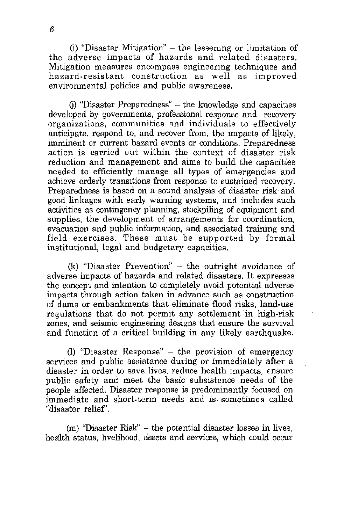(i) "Disaster Mitigation"  $-$  the lessening or limitation of the adverse impacts of hazards and related disasters. Mitigation measures encompass engineering techniques and hazard-resistant construction as well as improved environmental policies and public awareness.

 $(i)$  "Disaster Preparedness" - the knowledge and capacities developed by governments, professional response and recovery organizations, communities and individuals to effectively anticipate, respond to, and recover from, the Impacts of likely, imminent or current hazard events or conditions. Preparedness action is carried out within the context of disaster risk reduction and management and aims to build the capacities needed to efficiently manage all types of emergencies and achieve orderly transitions from response to sustained recovery. Preparedness is based on a sound analysis of disaster risk and good linkages with early warning systems, and includes such activities as contingency planning, stockpiling of equipment and supplies, the development of arrangements for coordination. evacuation and public information, and associated training and field exercises. These must be supported by formal institutional, legal and budgetary capacities.

 $(k)$  "Disaster Prevention" - the outright avoidance of adverse impacts of hazards and related disasters. It expresses the concept and intention to completely avoid potential adverse impacts through action taken in advance such as construction of dams or embankments that eliminate flood risks, land-use regulations that do not permit any settlement in high-risk zones, and seismic engineering designs that ensure the survival and function of a critical building in any likely earthquake.

(1) "Disaster Response" - the provision of emergency services and public assistance during or immediately after a disaster in order to save lives, reduce health impacts, ensure public safety and meet the basic subsistence needs of the people affected. Disaster response is predominantly focused on immediate and short-term needs and is sometimes called "disaster relief'.

(m) "Disaster Risk" - the potential disaster losses in lives, health status, livelihood, assets and services, which could occur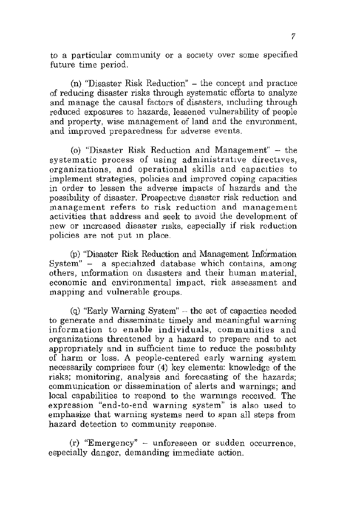to a particular community or a society over some specified future time period.

 $(n)$  "Disaster Risk Reduction"  $-$  the concept and practice of reducing disaster risks through systematic efforts to analyze and manage the causal factors of disasters, mcluding through reduced exposures to hazards, lessened vulnerability of people and property, wise management of land and the environment, and improved preparedness for adverse events.

(0) "Disaster Risk Reduction and Management" - the systematic process of using administrative directives. organizations, and operational skills and capacities to implement strategies, policies and improved coping capacities in order to lessen the adverse impacts of hazards and the possibility of disaster. Prospective disaster risk reduction and **management refers to risk reduction and management**  activities that address and seek to avoid the development of **new or lncreased disaster risks, especially if risk reduction**  policies are not put m place.

(p) "Disaster Risk Reduction and Management Information System" – a specialized database which contains, among a specialized database which contains, among others, information on disasters and their human material. **economic and environmental impact, risk assessment and**  mapping and vulnerable groups.

(q) "Early Warning System"  $-$  the set of capacities needed to generate and disseminate timely and meaningful warning information to enable individuals, communities and organizations threatened by a hazard to prepare and to act appropriately and in sufficient time to reduce the possibility of harm or loss. A people-centered early warning system necessarily comprises four (4) key elements: knowledge of the risks; monitoring, analysis and forecasting of the hazards; communication or dissemination of alerts and warnings; and local capabilities to respond to the warnings received. The expression "end-to-end warning system" is also used to emphasize that warning systems need to span all steps from **hazard detection to community response.** 

(r) "Emergency" - unforeseen or sudden occurrence, especially danger, demanding immediate action.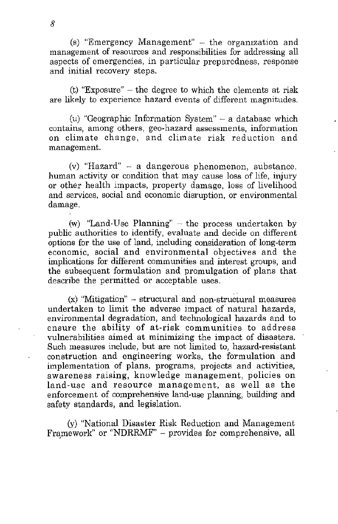(s) "Emergency Management"  $-$  the organization and management of resources and responsibilities for addressing all aspects of emergencies, in particular preparedness, response and initial recovery steps.

(t) "Exposure" - the degree to which the elements at risk are likely to experience hazard events of different magnitudes.

(u) "Geographic Information System"  $-$  a database which **contains, among others, geo-hazard assessments, information**  on climate change, and climate risk reduction and **management.** 

 $(v)$  "Hazard" - a dangerous phenomenon, substance, human activity or condition that may cause loss of life, injury or other health impacts, property damage, loss of livelihood and services, social and economic disruption, or environmental damage.

(w) "Land-Use Planning"  $-$  the process undertaken by public authorities to identify, evaluate and decide on different options for the use of land, including consideration of long-term economic, social and environmental objectives and the implications for different communities and interest groups, and the subsequent formulation and promulgation of plans that describe the permitted or acceptable uses.

(x) "Mitigation" - structural and non-structural measures undertaken to limit the adverse impact of natural hazards, environmental degradation, and technological hazards and to ensure the ability of at-risk communities to address vulnerabilities aimed at minimizing the impact of disasters. Such measures include, but are not limited to, hazard-resistant construction and engineering works, the formulation and implementation of plans, programs, projects and activities, awareness raising, knowledge management, policies on land-use and resource management, as well as the enforcement of comprehensive land-use planning, building and safety standards, and legislation.

(y) "National Disaster Risk Reduction and Management Framework" or "NDRRMF" - provides for comprehensive, all

8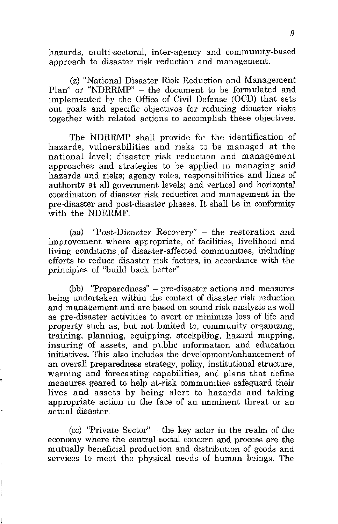hazards, multi-sectoral, inter-agency and commumty-based approach to disaster risk reduction and management.

(z) "National Disaster Risk Reduction and Management Plan" or "NDRRMP" - the document to be formulated and implemented by the Office of Civil Defense (OCD) that sets out goals and specific objectives for reducing disaster risks together with related actions to accomplish these objectives.

The NDRRMP shall provide for the identification of hazards, vulnerabilities and risks to 'be managed at the national level; disaster risk reduction and management approaches and strategies to be applied m managing said hazards and risks; agency roles, responsibilities and lines of authority at all government levels; and vertical and horizontal coordination of disaster risk reduction and management in the pre-disaster and post-disaster phases. It shall be in conformity with the NDRRMF.

(aa) "Post-Disaster Recovery" - the restoration and improvement where appropriate, of facilities, livelihood and living conditions of disaster-affected communities, including efforts to reduce disaster risk factors, in accordance with the principles of "build back better".

(bb) "Preparedness" - pre-disaster actions and measures being undertaken within the context of disaster risk reduction and management and are based on sound risk analysis as well as pre-disaster activities to avert or minimize loss of life and property such as, but not limited to, community organizing, training, planning, equipping, stockpiling, hazard mapping, insuring of assets, and public information and education initiatives. This also includes the development/enhancement of an overall preparedness strategy, policy, institutional structure, warning and forecasting capabilities, and plans that define measures geared to help at-risk commumties safeguard their lives and assets by being alert to hazards and taking appropriate action in the face of an Imminent threat or an actual disaster,

(cc) "Private Sector"  $-$  the key actor in the realm of the **economy where the central social concern and process are the**  mutually beneficial production and distribution of goods and services to meet the physical needs of human beings. The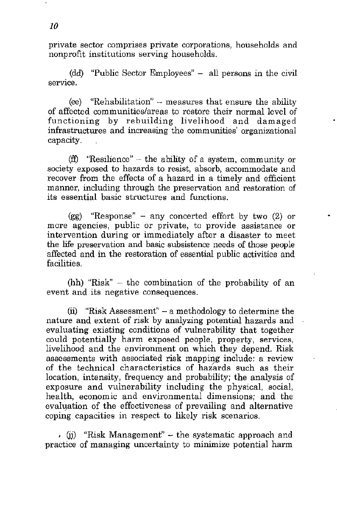**private sector comprises private corporations, households and**  nonprofit institutions serving households.

(dd) "Public Sector Employees" - all persons in the civil **service.** 

(ee) "Rehabilitation"  $-$  measures that ensure the ability of affected communities/areas to restore their normal level of functioning by rebuilding livelihood and damaged infrastructures and increasing the communities' organizational capacity.

(ff) "Resilience" – the ability of a system, community or society exposed to hazards to resist, absorb, accommodate and recover from the effects of a hazard in a timely and efficient manner, including through the preservation and restoration of its essential basic structures and functions.

(gg) "Response" - any concerted effort by two (2) or more agencies, public or private, to provide assistance or intervention during or immediately after a disaster to meet the life preservation and basic subsistence needs of those people affected and in the restoration of essential public activities and facilities.

(hh) "Risk" - the combination of the probability of an event and its negative consequences.

(ii) "Risk Assessment" - a methodology to determine the nature and extent of risk by analyzing potential hazards and evaluating existing conditions of vulnerability that together could potentially harm exposed people, property, services, livelihood and the environment on which they depend. Risk assessments with associated risk mapping include: a review of the technical characteristics of hazards such as their location, intensity, frequency and probability; the analysis of exposure and vulnerability including the physical, social, health, economic and environmental dimensions; and the evaluation of the effectiveness of prevailing and alternative coping capacities in respect to likely risk scenarios.

, (ii) "Risk Management"  $-$  the systematic approach and practice of managing uncertainty to minimize potential harm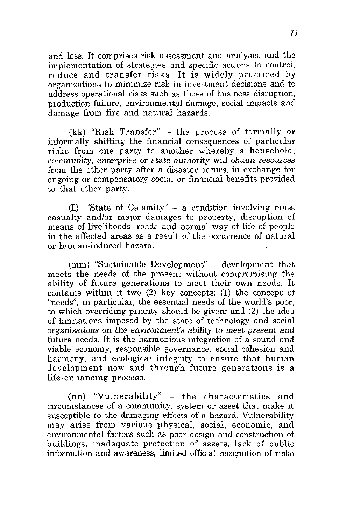and loss. It comprises risk assessment and analysis, and the implementation of strategies and specific actions to control, reduce and transfer risks. It is widely practiced by organizations to minimize risk in investment decisions and to address operational risks such as those of busmess disruption, production failure, environmental damage, social impacts and damage from fire and natural hazards.

 $(kk)$  "Risk Transfer"  $-$  the process of formally or informally shifting the financial consequences of particular risks from one party to another whereby a household, community, enterprise or state authority will obtain resources from the other party after a disaster occurs, in exchange for ongoing or compensatory social or financial benefits provided to that other party.

(Il) "State of Calamity" - a condition involving mass casualty andlor major damages to property, disruption of means of livelihoods, roads and normal way of life of people in the affected areas as a result of the occurrence of natural or human-induced hazard.

 $(nm)$  "Sustainable Development" - development that meets the needs of the present without compromising the ability of future generations to meet their own needs. It contains within it two (2) key concepts: (1) the concept of "needs", in particular, the essential needs of the world's poor. to which overriding priority should be given; and (2) the idea of limitations imposed by the state of technology and social organizations on the environment's ability to *meet* present and future needs. It is the harmonious mtegration of a sound and viable economy, responsible governance, social cohesion and harmony, and ecological integrity to ensure that human development now and through future generations is a life-enhancing process.

 $(nn)$  "Vulnerability"  $-$  the characteristics and circumstances of a community, system or asset that make it susceptible to the damaging effects of a hazard. Vulnerability **may arise from various physical, social, economic, and**  environmental factors such as poor design and construction of buildings, inadequate protection of assets, lack of public information and awareness, limited official recogmtion of risks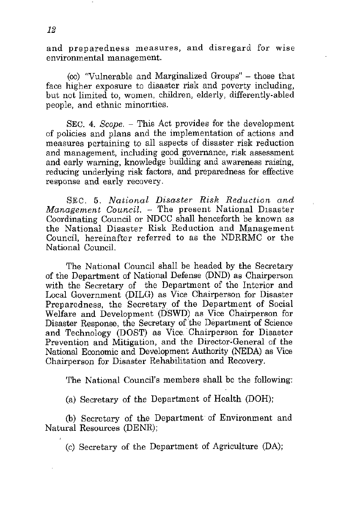and preparedness measures, and disregard for wise **environlnental management.** 

(00) "Vulnerable and Marginalized Groups" - those that face higher exposure to disaster risk and poverty including, but not limited to, women, children, elderly, differently-abled people, and ethnic minonties.

SEC. 4. *Scope.* - This Act provides for the development of policies and plans and the implementation of actions and measures pertaining to all aspects of disaster risk reduction and management, including good governance, risk assessment and early warning, knowledge building and awareness raising, reducing underlying risk factors, and preparedness for effective response and early recovery.

SEC. 5. *National Disaster Risk Reduction and Management Council.* - The present National Disaster Coordinating Council or NDCC shall henceforth be known as the National Disaster Risk Reduction and Management Council, hereinafter referred *to* as the NDRRMC or the National Council.

The National Council shall be headed by the Secretary of the Department of National Defense (DND) as Chairperson with the Secretary of the Department of the Interior and Local Government (DILG) as Vice Chairperson for Disaster Preparedness, the Secretary of the Department of Social Welfare and Development (DSWD) as Vice Chairperson for Disaster Response, the Secretary of the Department of Science and Technology (DOST) as Vice Chairperson for Disaster Prevention and Mitigation, and the Director-General of the National Economic and Development Authority (NEDA) as Vice Chairperson for Disaster Rehabilitation and Recovery.

The National Council's members shall be the following:

(a) Secretary of the Department of Health (DOH);

(b) Secretary of the Department of Environment and Natural Resources (DENR);

(c) Secretary of the Department of Agriculture (DA);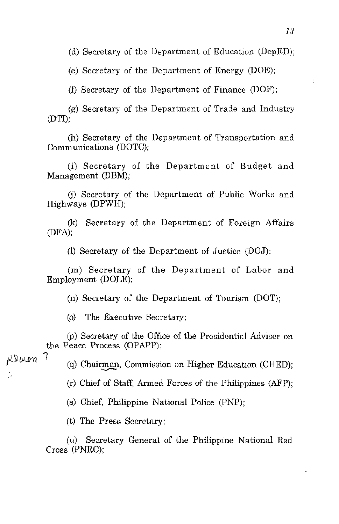(d) Secretary of the Department of Education (DepED);

(e) Secretary of the Department of Energy (DOE);

(f) Secretary of the Department of Finance  $(DOF)$ ;

(g) Secretary of the Department of Trade and Industry (DT!);

(h) Secretary of the Department of Transportation and Comm unications (DOTC);

(i) Secretary of the Department of Budget and Management (DBM);

0) Secretary of the Department of Public Works and Highways (DPWH);

(k) Secretary of the Department of Foreign Affairs (DFA);

(1) Secretary of the Department of Justice (DOJ);

(m) Secretary of the Department of Labor and Employment (DOLE);

(n) Secretary of the Department of Tourism (DOT);

(o) The Executive Secretary;

(p) Secretary of the Office of the Presidential Adviser on the Peace Process (OPAPP);

RBuen 7

l.

 $(q)$  Chairman, Commission on Higher Education (CHED);

(r) Chief of Staff, Armed Forces of the Philippines (AFP);

(s) Chief, Philippine National Police (PNP);

(t) The Press Secretary;

(u) Secretary General of the Philippine National Red Cross (PNRC);

 $\hat{\mathbf{z}}$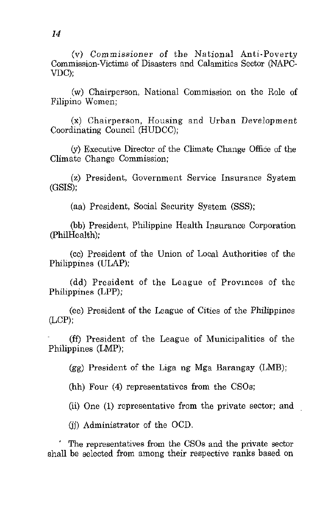(v) Commissioner of the National Anti-Poverty Commission-Victims of Disasters and Calamities Sector (NAPC-VDC);

(w) Chairperson, National Commission on the Role of Filipino Women;

(x) Chairperson, Housing and Urban Development Coordinating Council (HUDCC);

(y) Executive Director of the Climate Change Office of the Climate Change Commission;

(z) President, Government Service Insurance System (GSIS);

(aa) President, Social Security System (SSS);

(bb) President, Philippine Health Insurance Corporation (philHealth);

(cc) President of the Union of Local Authorities of the Philippines (ULAP);

(dd) President of the League of Provmces of the Philippines (LPP);

(ee) President of the League of Cities of the Philippines (LCP);

(ff) President of the League of Municipalities of the Philippines (LMP);

(gg) President of the Liga ng Mga Barangay (LMB);

(hh) Four (4) representatives from the CSOs;

(ii) One (1) representative from the private sector; and

(ji) Administrator of the OCD.

The representatives from the CSOs and the private sector shall be selected from among their respective ranks based on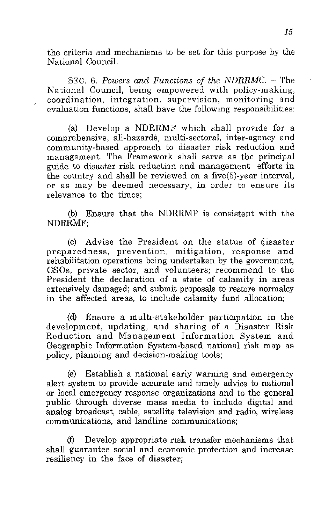the criteria and mechanisms to be set for this purpose by the National Council.

SEC. 6. *Powers and Functions of the NDRRMC.* - The National Council, being empowered with policy-making, **coordination, integration, supervision, monitoring and**  evaluation functions, shall have the following responsibilities:

(a) Develop a NDRRMF which shall provide for a comprehensive, all-hazards, multi-sectoral, inter-agency and community-based approach to disaster risk reduction and management. The Framework shall serve as the principal guide to disaster risk reduction and management efforts in the country and shall be reviewed on a five(5)-year interval, **or as may be deemed necessary, in order to ensure its**  relevance to the times;

(b) Ensure that the NDRRMP is consistent with the NDRRMF;

 $(c)$  Advise the President on the status of disaster preparedness, prevention, mitigation, response and rehabilitation operations being undertaken by the government, CSOs, private sector, and volunteers; recommend to the President the declaration of a state of calamity in areas extensively damaged; and submit proposals to restore normalcy in the affected areas, to include calamity fund allocation;

(d) Ensure a multi-stakeholder participation in the development, updating, and sharing of a Disaster Risk Reduction and Management Information System and Geographic Information System-based national risk map as policy, planning and decision-making tools;

(e) Establish a national early warning and emergency alert system to provide accurate and timely advice to national or local emergency response organizations and to the general public through diverse mass media to include digital and analog broadcast, cable, satellite television and radio, wireless **communications, and landline communications;** 

(1) Develop appropriate rIsk transfer mechanisms that shall guarantee social and economic protection and increase resiliency in the face of disaster;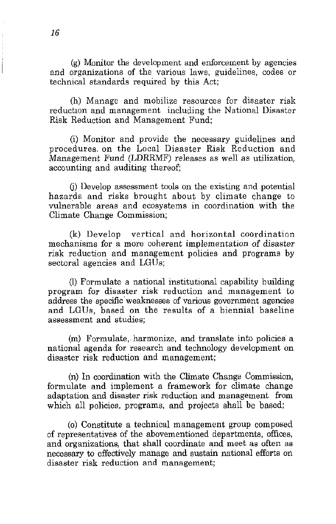(g) Monitor the development and enforcement by agencies and organizations of the various laws, guidelines, codes or technical standards required by this Act;

(h) Manage and mobilize resources for disaster risk reduction and management including the National Disaster Risk Reduction and Management Fund;

(i) Monitor and provide the necessary guidelines and procedures. on the Local Disaster Risk Reduction and Management Fund (LDRRMF) releases as well as utilization, accounting and auditing thereof;

G) Develop assessment tools on the existing and potential hazards and risks brought about by climate change to vulnerable areas and ecosystems in coordination with the Climate Change Commission;

(k) Develop vertical and horizontal coordination mechanisms for a more coherent implementation of disaster risk reduction and management policies and programs by sectoral agencies and LGUs;

(1) Formulate a national institutional capability building program for disaster risk reduction and management to address the specific' weaknesses of various government agencies and LGUs, based on the results of a biennial baseline **assessment and studies;** 

(m) Formulate, harmonize, and translate into policies a national agenda for research and technology development on disaster risk reduction and management;

(n) In coordination with the Climate Change Commission, formulate and implement a framework for climate change adaptation and disaster risk reduction and management from which all policies, programs, and projects shall be based;

(0) Constitute a technical management group composed of representatives of the abovementioned departments, offices, and organizations, that shall coordinate and meet as often as necessary to effectively manage and sustain national efforts on disaster risk reduction and management;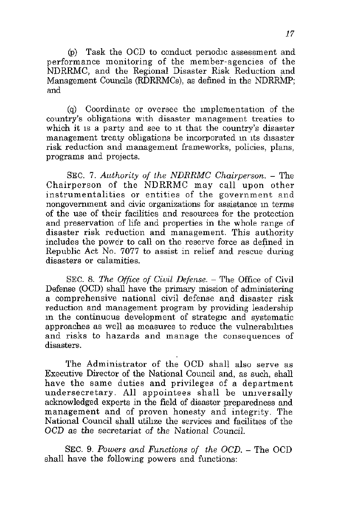(p) Task the OCD to conduct periodic assessment and performance monitoring of the member-agencies of the NDRRMC, and the Regional Disaster Risk Reduction and Management Councils (RDRRMCs), as defined in the NDRRMP; and

(q) Coordinate or oversee the Implementation of the **country's obligations with disaster management treaties to**  which it is a party and see to it that the country's disaster management treaty obligations be incorporated in its disaster risk reduction and management frameworks, policies, plans, programs and projects.

SEC. 7. Authority of the NDRRMC Chairperson. - The Chairperson of the NDRRMC may call upon other instrumentalities or entities of the government and **nongovernment and civic organizations for assistance In terms**  of the use of their facilities and resources for the protection and preservation of life and properties in the whole range of disaster risk reduction and management. This authority includes the power to call on the reserve force as defined in Republic Act No. 7077 to assist in relief and rescue'during **disasters or calamities.** 

SEC. 8. *The Office of Civil Defense.* - The Office of Civil Defense (OCD) shall have the primary mission of administering a comprehensive national civil defense and disaster risk reduction and management program by providing leadership in the continuous development of strategic and systematic approaches as well as measures to reduce the vulnerabilities and risks to hazards and manage the consequences of **disasters.** 

The Administrator of the OCD shall also serve as Executive Director of the National Council and, as such, shall have the same duties and privileges of a department undersecretary. All appointees shall be umversally acknowledged experts in the field of disaster preparedness and management and of proven honesty and integrity. The National Council shall utilize the services and facilities of the OCD as the secretariat of the National Council.

SEC. 9. *Powers and Functions of the OCD.* - The OCD shall have the following powers and functions: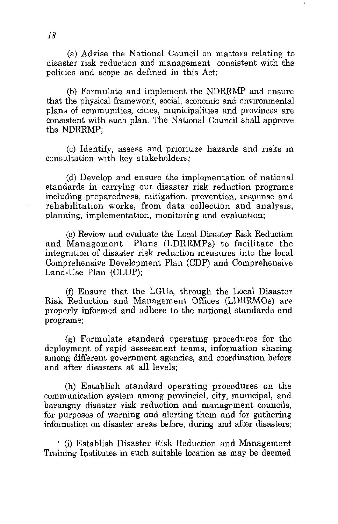(a) Advise the National Council on matters relating to disaster risk reduction and management consistent with the policies and scope as defined in this Act;

(b) Formulate and implement the NDRRMP and ensure that the physical framework, social, economic and environmental plans of communities, cities, municipalities and provinces are consistent with such plan. The National Council shall approve the NDRRMP;

(c) Identify, assess and prioritize hazards and risks in consultation with key stakeholders;

(d) Develop and ensure the implementation of national standards in carrying out disaster risk reduction programs including preparedness, mitigation, prevention, response and rehabilitation works, from data collection and analysis, planning, implementation, monitoring and evaluation;

(e) Review and evaluate the Local Disaster Risk Reduction and Management Plans (LDRRMPs) to facilitate the integration of disaster risk reduction measures into the local Comprehensive Development Plan (CDP) and Comprehensive Land-Use Plan (CLUP):

(f) Ensure that the LGUs, through the Local Disaster Risk Reduction and Management Offices (LDRRMOs) are properly informed and adhere to the national standards and programs;

(g) Formulate standard operating procedures for the deployment of rapid assessment teams, information sharing among different government agencies, and coordination before and after disasters at all levels;

(h) Establish standard operating procedures on the **communication system among provincial, city, municipal, and**  barangay disaster risk reduction and management councils, for purposes of warning and alerting them and for gathering information on disaster areas before, during and after disasters;

, (i) Establish Disaster Risk Reduction and Management Training Institutes in such suitable location as may be deemed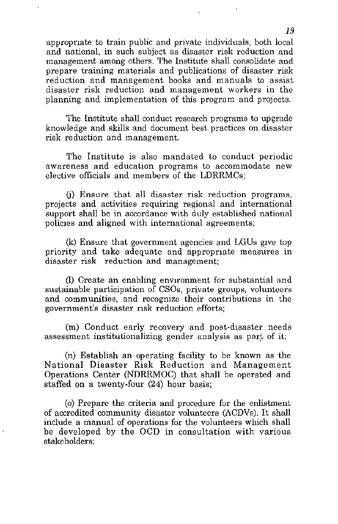appropnate to train public and private individuals, both local and national, in such subject as disaster risk reduction and management among others. The Institute shall consolidate and prepare training materials and publications of disaster risk reduction and management books and manuals to assist disaster risk reduction and management workers in the planning and implementation of this program and projects.

The Institute shall conduct research programs to upgrade know ledge and skills and document best practices on disaster risk reduction and management.

The Institute is also mandated to conduct periodic **awareness and education programs to accommodate new**  elective officials and members of the LDRRMCs;

(j) Ensure that all disaster risk reduction programs, projects and activities requiring regional and international support shall be in accordance with duly established national policies and aligned with international agreements;

(k) Ensure that government agencies and LGUs gIVe top priority and take adequate and appropriate measures in disaster risk reduction and management;

(1) Create an enabling environment for substantial and sustainable participation of CSOs, private groups, volunteers **and communities, and recognize their contributions in the**  government's disaster risk reduction efforts;

(m) Conduct early recovery and post-disaster needs assessment institutionalizing gender analysis as part of it;

(n) Establish an operating facility to be known as the National Disaster Risk Reduction and Management Operations Center (NDRRMOC) that shall be operated and staffed on a twenty-four (24) hour basis;

(0) Prepare the criteria and procedure for the eulistment of accredited community disaster volunteers (ACDVs). It shall include a manual of operations for the volunteers which shall be developed by the OCD in consultation with various stakeholders;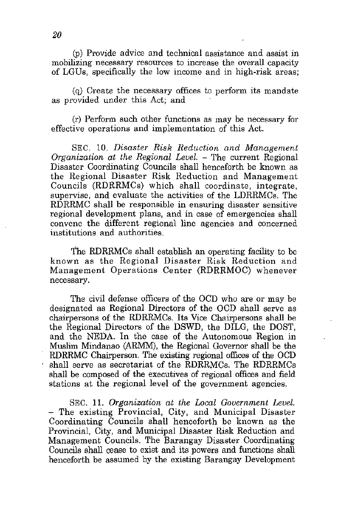(P) Provide advice and technical assistance and assist in mobilizing necessary resources to increase the overall capacity of LGUs, specifically the low income and in high-risk areas;

(q) Create the necessary offices to perform its mandate as provided under this Act; and

(r) Perform such other functions as may be necessary for effective operations and implementation of this Act.

SEC. 10. *Disaster Risk Reduction and Management Organization at the Regional Level.* - The current Regional Disaster Coordinating Councils shall henceforth be known as the Regional Disaster Risk Reduction and Management Councils (RDRRMCs) which shall coordinate, integrate, supervise, and evaluate the activities of the LDRRMCs. The RDRRMC shall be responsible in ensuring disaster sensitive regional development plans, and in case of emergencies shall convene the different regional line agencies and concerned institutions and authorities.

The RDRRMCs shall establish an operating facility to be known as the Regional Disaster Risk Reduction and Management Operations Center (RDRRMOC) whenever **necessary.** 

The civil defense officers of the OCD who are or may be designated as Regional Directors of the OCD shall serve as chairpersons of the RDRRMCs. Its Vice Chairpersons shall be the Regional Directors of the DSWD, the DILG, the DOST, and the NEDA. In the case of the Autonomous Region in Muslim Mindanao (ARMM), the Regional Governor shall be the RDRRMC Chairperson. The existing regional offices of the OCD shall serve as secretariat of the RDRRMCs. The RDRRMCs shall be composed of the executives of regional offices and field stations at the regional level of the government agencies.

SEC. 11. *Organization at the Local Government Level.*  - The existing Provincial, City, and Municipal Disaster Coordinating Councils shall henceforth be known as the Provincial, City, and Municipal Disaster Risk Reduction and Management Councils. The Barangay Disaster Coordinating Councils shall cease to exist and its powers and functions shall henceforth be assumed by the existing Barangay Development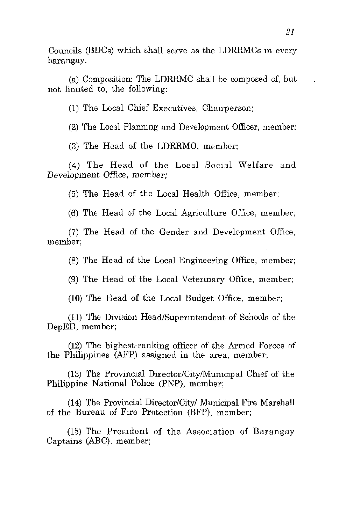Councils (BDCs) which shall serve as the LDRRMCs m every barangay.

(a) Composition: The LDRRMC shall be composed of, but not limited to, the following:

 $(1)$  The Local Chief Executives, Chairperson;

(2) The Local Plannmg and Development Officer, member;

(3) The Head of the LDRRMO, member;

(4) The Head of the Local Social Welfare and Development Office, member;

(5) The Head of the Local Health Office, member;

(6) The Head of the Local Agriculture Office, member;

(7) The Head of the Gender and Development Office, **member;** 

(8) The Head of the Local Engineering Office, member;

(9) The Head of the Local Veterinary Office, member;

(10) The Head of the Local Budget Office, member;

(11) The Division Head/Superintendent of Schools of the DepED, member;

(12) The highest-ranking officer of the Armed Forces of the Philippines (AFP) assigned in the area, member;

 $(13)$  The Provincial Director/City/Mumcipal Chef of the Philippine National Police (PNP), member;

(14) The Provincial Director/City/ Municipal Fire Marshall of the Bureau of Fire Protection (BFP), member;

(15) The PresIdent of the Association of Barangay Captains (ABC), member;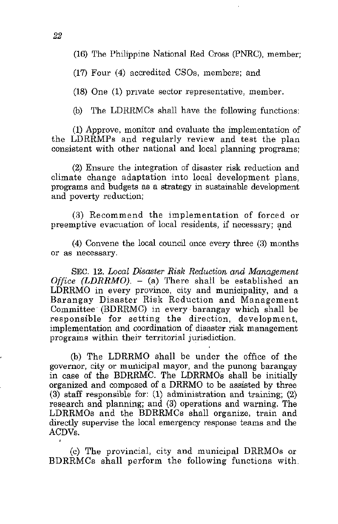(16) The Philippine National Red Cross (PNRC), member;

(17) Four (4) accredited CSOs, members; and

(18) One (1) private sector representative, member.

(b) The LDRRMCs shall have the following functions:

(1) Approve, monitor and evaluate the implementation of the LDRRMPs and regularly review and test the plan consistent with other national and local planning programs;

(2) Ensure the integration of disaster risk reduction and climate change adaptation into local development plans, programs and budgets as a strategy in sustainable development and poverty reduction;

(3) Recommend the implementation of forced or preemptive evacuation of local residents, if necessary; and

(4) Convene the local couneil once every three (3) months **or as necessary.** 

SEC. 12. *Local Disaster Risk Reduction and Management Office (LDRRMO).* - (a) There shall be established an LDRRMO in every province, city and municipality, and a Barangay Disaster Risk Reduction and Management Committee (BDRRMC) in every ·barangay which shall be responsible for setting the direction, development, implementation and coordination of disaster risk management programs within their territorial jurisdiction.

(b) The LDRRMO shall be under the office of the governor, city or municipal mayor, and the punong barangay in case of the BDRRMC. The LDRRMOs shall be initially organized and composed of a DRRMO to be assisted by three (3) staff responsible for: (1) administration and training; (2) research and planning; and (3) operations and warning. The LDRRMOs and the BDRRMCs shall organize, train and directly supervise the local emergency response teams and the ACDVs.

(c) The provincial, city and municipal DRRMOs or BDRRMCs shall perform the following functions with.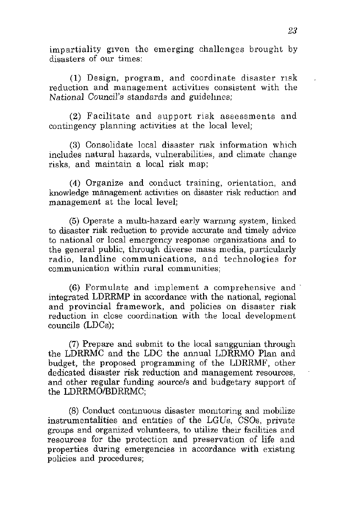impartiality gIven the emerging challenges brought by disasters of our times:

(1) Design, program, and coordinate disaster r1sk reduction and management activities consistent with the National Council's standards and guidehnes;

(2) Facilitate and support risk assessments and contingency planning activities at the local level;

(3) Consolidate local disaster nsk information which includes natural hazards, vulnerabilities, and climate change risks, and maintain a local risk map;

(4) Organize and conduct training, orientation, and knowledge management activities on disaster risk reduction and management at the local level;

(5) Operate a multl-hazard early warnmg system, linked to disaster risk reduction to provide accurate and timely advice **to national or local emergency response organizations and to**  the general public, through diverse mass media, particularly radio, landline communications, and technologies for **communication within rural communities;** 

 $(6)$  Formulate and implement a comprehensive and integrated LDRRMP in accordance with the national, regional and provincial framework, and policies on disaster risk reduction in close coordination with the local development councils (LDCs);

(7) Prepare and submit to the local sanggunian through the LDRRMC and the LDC the annual LDRRMO Plan and budget, the proposed programming of the LDRRMF, other dedicated disaster risk reduction and management resources, and other regular funding *source/s* and budgetary support of the LDRRMO/BDRRMC;

(8) Conduct contmuous disaster momtoring and mobilize instrumentalities and entities of the LGUs, CSOs, private groups and organized volunteers, to utilize their facilities and resources for the protection and preservation of life and properties during emergencies in accordance with existmg policies and procedures;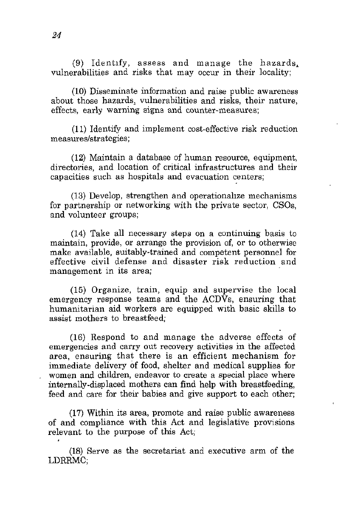(9) Identify, assess and manage the hazards. vulnerabilities and risks that may occur in their locality;

(10) Disseminate information and raise public awareness about those hazards. vulnerabilities and risks, their nature, effects, early warning signs and counter~measures;

(l1) Identify and implement cost-effective risk reduction **measures/strategies;** 

(12) Maintain a database of human resource, equipment, directories, and location of critical infrastructures and their capacities such as hospitals and evacuation centers;

(13) Develop, strengthen and operationahze mechanisms for partnership or networking with the private sector, CSOs, and volunteer groups;

(14) Take all necessary steps on a continuing basis to maintain, provide, or arrange the provision of, or to otherwise make available, suitably-trained and competent personnel for effective civil defense and disaster risk reduction and **management in its area;** 

(15) Organize, train, equip and supervise the local emergency response teams and the  $ACD\bar{V}s$ , ensuring that humanitarian aid workers are equipped with basic skills to assist mothers to breastfeed;

(16) Respond to and manage the adverse effects of emergencies and carry out recovery activities in the affected area, ensuring that there is an efficient mechanism for immediate delivery of food, shelter and medical supplies for women and children, endeavor to create a special place where internally-displaced mothers can find help with breastfeeding, feed and care for their babies and give support to each other;

(17) Within its area, promote and raise public awareness of and compliance with this Act and legislative provisions relevant to the purpose of this Act;

(18) Serve as the secretariat and executive arm of the LDRRMC;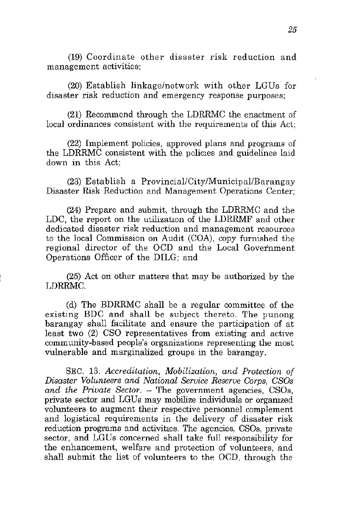(19) Coordinate other disaster risk reduction and **management activities;** 

(20) Establish linkage/network with other LGUs for disaster risk reduction and emergency response purposes;

(21) Recommend through the LDRRMC the enactment of local ordinances consistent with the requirements of this Act;

(22) Implement policies, approved plans and programs of the LDRRMC consistent with the policies and guidelines laid down in this Act;

 $(23)$  Establish a Provincial/City/Municipal/Barangay Disaster Risk Reduction and Management Operations Center;

(24) Prepare and submit, through the LDRRMC and the LDC, the report on the utilization of the LDRRMF and other dedicated disaster risk reduction and management resources to the local Commission on Audit (COA), copy furnished the regional director of the OCD and the Local Govetnment Operations Officer of the DILG; and

(25) Act on other matters that may be authorized by the LDRRMC.

(d) The BDRRMC shall be a regular committee of the existing BDC and shall be subject thereto. The punong barangay shall facilitate and ensure the participation of at least two (2) CSO representatives from existing and active community-based people's organizations representing the most vulnerable and marginalized groups in the barangay.

SEC. 13. *Accreditation, Mobilization, and Protection of Disaster Volunteers and National Service Reserve Corps, CSOs*  and the Private Sector. – The government agencies, CSOs, private sector and LGUs may mobilize individuals or orgamzed volunteers to augment their respective personnel complement and logistical requirements in the delivery of disaster risk reduction programs and activities. The agencies, CSOs, private sector, and LGUs concerned shall take full responsibility for the enhancement, welfare and protection of volunteers, and shall submit the list of volunteers to the OCD, through the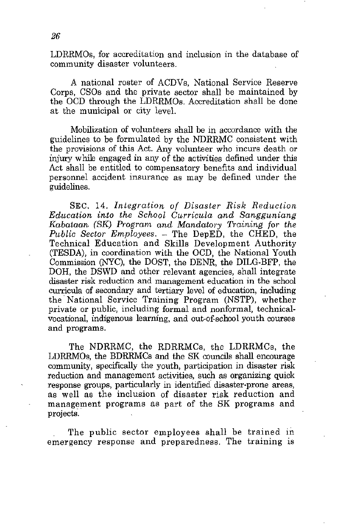LDRRMOs, for accreditation and inclusion in the database of community disaster volunteers.

A national roster of ACDVs, National Service Reserve Corps, CSOs and the private sector shall be maintained by the OCD through the LDRRMOs. Accreditation shall be done at the municipal or city level.

Mobilization of volunteers shall be in accordance with the guidelines to be formulated by the NDRRMC consistent with the provisions of this Act. Any volunteer who incurs death or injury while engaged in any of the activities defined under this Act shall be entitled to compensatory benefits and individual personnel accident insurance as may be defined under the guidelines.

SEC. 14. *Integration of Disaster Risk Reduction Education into the School Curricula and Sangguniang Kabataan (SK) Program and Mandatory Training for the Public Sector Employees.* - The DepED, the CHED, the Technical Education and Skills Development Authority (TESDA), in coordination with the OCD, the National Youth Commission (NYC), the DOST, the DENR, the DILG-BFP, the DOH, the DSWD and other relevant agencies, shall integrate disaster risk reduction and management education in the school curricula of secondary and tertiary level of education, including the' National Service Training Program (NSTP), whether private or public, including formal and nonformal, technicalvocational, indigenous learning, and out-of-school youth courses and programs.

The NDRRMC, the RDRRMCs, the LDRRMCs, the LDRRMOs, the BDRRMCs and the SK councils shall encourage community, specifically the youth, participation in disaster risk reduction and management activities, such as organizing quick response groups, particularly in identified disaster-prone areas, as well as the inclusion of disaster risk reduction and management programs as part of the SK programs and projects.

The public sector employees shall be trained in emergency response and preparedness. The training is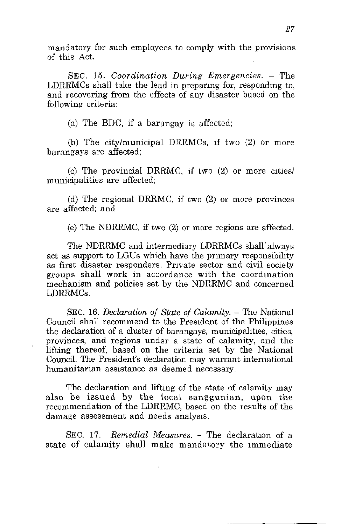mandatory for such employees to comply with the provisions of this Act.

SEC. 15. *Coordination During Emergencies.* – The LDRRMCs shall take the lead in preparmg for, respondmg to, and recovering from the effects of any disaster based on the following criteria:

(a) The BDC, if a barangay is affected;

(b) The city/municipal DRRMCs, If two (2) or more barangays are affected;

(c) The provincial DRRMC, if two  $(2)$  or more cities/ municipalities are affected;

(d) The regional DRRMC, if two (2) or more provinces are affected; and

(e) The NDRRMC, if two (2) or more regions are affected.

The NDRRMC and intermediary LDRRMCs shall' always act as support to LGUs which have the primary responsibility as first disaster responders. Private sector and civil society groups shall work in accordance with the coordination mechanism and policies set by the NDRRMC and concerned LDRRMCs.

SEC. 16. *Declaration of State of Calamity.* – The National Council shall recommend to the President of the Philippines the declaration of a cluster of barangays, municipalities, cities, provinces, and regions under a state of calamity, and the lifting thereof, based on the criteria set by the National Council. The President's declaration may warrant international **humanitarian assistance as deemed necessary.** 

The declaration and lifting of the state of calamity may also be issued by the local sanggunian, upon the recommendation of the LDRRMC, based on the results of the damage assessment and needs analysis.

SEC. 17. *Remedial Measures.* – The declaration of a state of calamity shall make mandatory the Immediate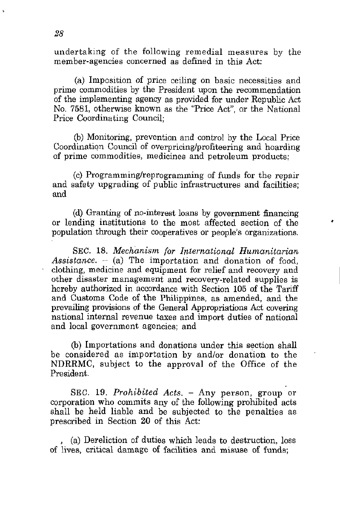undertaking of the following remedial measures by the member-agencies concerned as defined in this Act:

(a) Imposition of price ceiling on basic necessities and prime commodities by the President upon the recommendation of the implementing agency as provided for under Republic Act No. 7581, otherwise known as the "Price Act", or the National Price Coordinating Council;

(b) Monitoring, prevention and control by the Local Price Coordination Council of overpricing/profiteering and hoarding of prime commodities, medicines and petroleum products;

(c) Programming/reprogramming of funds for the repair and safety upgrading of public infrastructures and facilities; and

(d) Granting of no-interest loans by government financing or lending institutions to the most affected section of the population through their cooperatives or people's organizations.

SEC. 18. *Mechanism for International Humanitarian*  Assistance.  $-$  (a) The importation and donation of food, clothing, medicine and equipment for relief and recovery and other disaster management and recovery-related supplies is hereby authorized in accordance with Section 105 of the Tariff and Customs Code of the Philippines, as amended, and the prevailing provisions of the General Appropriations Act covering national internal revenue taxes and import duties of national and local government agencies; and

(b) Importations and donations under this section shall be considered as importation by and/or donation to the NDRRMC, subject to the approval of the Office of the President.

SEC. 19. *Prohibited Acts.* - Any person, group or corporation who commits any of the following prohibited acts shall be held liable and be subjected to the penalties as prescribed in Section 20 of this Act:

, (a) Dereliction of duties which leads to destruction, loss of lives, critical damage of facilities and misuse of funds;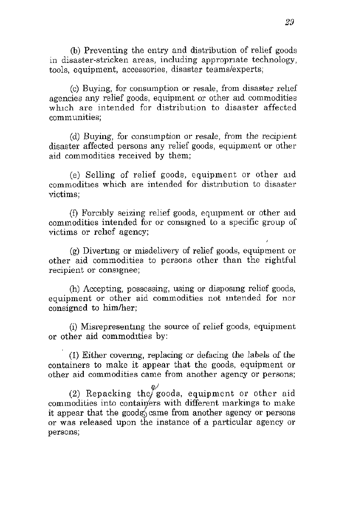(b) Preventing the entry and distribution of relief goods m disaster-stricken areas, including appropnate technology, tools, equipment, accessories, disaster teams/experts;

(c) Buying, for consumption or resale, from disaster rehef agencies any relief goods, equipment or other aid commodities which are intended for distribution to disaster affected **communities;** 

(d) Buying, for consumption or resale, from the recipient disaster affected persons any relief goods, equipment or other aid commodities received by them;

(e) Selling of relief goods, equipment or other aId commodities which are intended for distribution to disaster **victims;** 

(f) Forcibly seizing relief goods, equipment or other aid commodities intended for or consigned to a specific group of victims or rehef agency;

(g) Divertmg or misdelivery of relief goods, equipment or other aid commodities to persons other than the rightful **recipient or conSIgnee;** 

(h) Accepting, possessing, using or disposmg relief goods, equipment or other aid commodities not mtended for nor consigned to him/her;

(i) Misrepresentmg the source of relief goods, equipment or other aid commodities by:

(1) Either covermg, replacing or defacing the labels of the containers to make it appear that the goods, equipment or other aid commodities came from another agency or persons;

(2) Repacking the goods, equipment or other aid commodities into containers with different markings to make it appear that the goods came from another agency or persons or was released upon the instance of a particular agency or **persons;**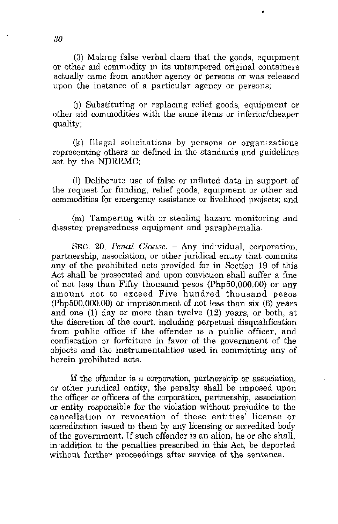$(3)$  Making false verbal claim that the goods, equipment or other aid commodity in its untampered original containers actually came from another agency or persons or was released upon the instance of a particular agency or persons;

0) Substituting or replacmg relief goods, equipment or other aid commodities with the same items or inferior/cheaper quality;

(k) Illegal sohcitations by persons or organizations representing others as defined in the standards and guidelines set by the NDRRMC;

(1) Deliberate use of false or inflated data in support of the request for funding, relief goods, equipment or other aid commodities for emergency assistance or livelihood projects; and

(m) Tampering with or stealing hazard monitoring and disaster preparedness equipment and paraphernalia.

SEC. 20. *Penal Clause.* - Any individual, corporation, partnership, association, or other juridical entity that commits any of the prohibited acts provided for in Section 19 of this Act shall be prosecuted and upon conviction shall suffer a fine of not less than Fifty thousand pesos (Php50,000.OO) or any amount not to exceed Five hundred thousand pesos (php500,OOO.OO) or imprisonment of not less than six (6) years and one (1) day or more than twelve (12) years, or both, at the discretion of the court, including perpetual disqualification from public office if the offender is a public officer, and confiscation or forfeiture in favor of the government of the objects and the instrumentalities used in committing any of herein prohibited acts.

If the offender is a corporation, partnership or association, or other juridical entity, the penalty shall be imposed upon the officer or officers of the corporation, partnership, association or entity responsible for the violation without prejudice to the cancellation or revocation of these entities' license or accreditation issued to them by any licensing or accredited body of the government. If such offender is an alien, he or she shall, in ·addition to the penalties prescribed in this Act, be deported without further proceedings after service of the sentence.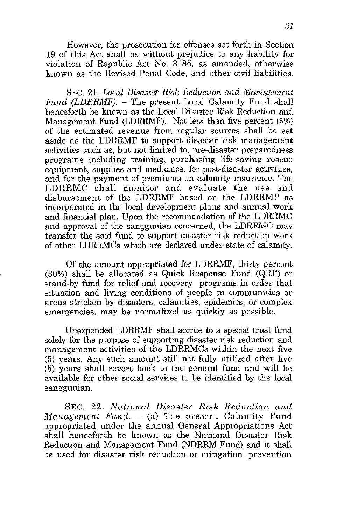However, the prosecution for offenses set forth in Section **19** of this Act shall be without prejudice to any liability for violation of Republic Act No. 3185, as amended, otherwise known as the Revised Penal Code, and other civil liabilities.

SEC. 21. *Local Disaster Risk Reduction and Management Fund (LDRRMF).* - The present Local Calamity Fund shall henceforth be known as the Local Disaster Risk Reduction and Management Fund (LDRRMF). Not less than five percent (5%) of the estimated revenue from regular sources shall be set aside as the LDRRMF to support disaster risk management activities such as, but not limited to, pre-disaster preparedness programs including training, purchasing life-saving rescue equipment, supplies and medicines, for post-disaster activities, and for the payment of premiums on calamity insurance. The LDRRMC shall monitor and evaluate the use and disbursement of the LDRRMF based on the LDRRMP as incorporated in the local development plans and annual work and financial plan. Upon the recommendation of the LDRRMO and approval of the sanggunian concerned, the LDRRMC may transfer the said fund to support disaster risk reduction work of other LDRRMCs which are declared under state of calamity.

Of the amount appropriated for LDRRMF, thirty percent (30%) shall be allocated as Quick Response Fund (QRF) or stand-by fund for relief and recovery programs in order that **situation and living conditions of people In communities or**  areas stricken by disasters, calamities, epidemics, or complex emergencies, may be normalized as quickly as possible.

Unexpended LDRRMF shall accrue to a special trust fund solely for the purpose of supporting disaster risk reduction and management activities of the LDRRMCs within the next five (5) years. Any such amount still not fully utilized after five (5) years shall revert back to the general fund and will be available for other social services to be identified by the local sanggunian.

SEC. 22. National Disaster Risk Reduction and *Management Fund.* - (a) The present Calamity Fund appropriated under the annual General Appropriations Act shall henceforth be known as the National Disaster Risk Reduction and Management Fund (NDRRM Fund) and it shall be used for disaster risk reduction or mitigation, prevention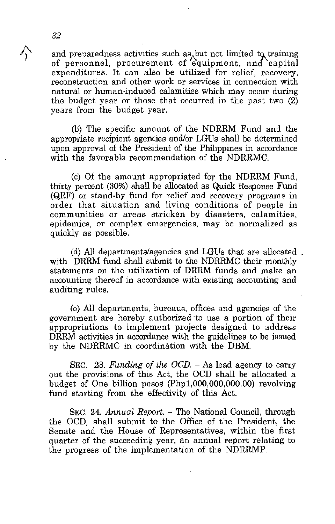and preparedness activities such as<sub>a</sub>but not limited to training of personnel, procurement of equipment, and capital expenditures. It can also be utilized for relief, recovery, **reconstruction and other work or services in connection with**  natural or human-induced calamities which may occur during the budget year or those that occurred in the past two (2) years from the budget year.

(b) The specific amount of the NDRRM Fund and the appropriate recipient agencies and/or LGUs shall be determined upon approval of the President of the Philippines in accordance with the favorable recommendation of the NDRRMC.

(c) Of the amount appropriated for the NDRRM Fund, thirty percent (30%) shall be allocated as Quick Response Fund (QRF) or stand-by fund for relief and recovery programs in order that situation and living conditions of people in communities or areas stricken by disasters, calamities, epidemics, or complex emergencies, may be normalized as quickly as possible.

(d) All departments/agencies and LGUs that are allocated with DRRM fund shall submit to the NDRRMC their monthly statements on the utilization of DRRM funds and make an accounting thereof in accordance with existing accounting and auditing rules.

(e) All departments, bureaus, offices and agencies of the government are hereby authorized to use a portion of their appropriations to implement projects designed to address DRRM activities in accordance with the guidelines to be issued by the NDRRMC in coordination with the DBM.

SEC. 23. *Funding of the OCD*. - As lead agency to carry out the provisions of this Act, the OCD shall be allocated a budget of One billion pesos (Phpl,OOO,OOO,OOO.OO) revolving fund starting from the effectivity of this Act.

SEC. 24. *Annual Report.* - The National Council, through the OCD, shall submit to the Office of the President, the Senate and the House of Representatives, within the first quarter of the succeeding year, an annual report relating to the progress of the implementation of the NDRRMP.

4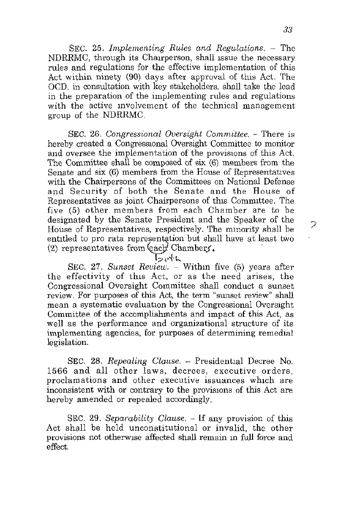SEC. 25. *Implementing Rules and Regulations.* - The NDRRMC, through its Chairperson, shall issue the necessary rules and regulations for the effective implementation of this Act within ninety (90) days after approval of this Act. The OCD. in consultation with key stakeholders. shall take the lead in the preparation of the implementing rules and regulations with the active involvement of the technical management group of the NDRRMC.

SEC. 26. *Congressional Oversight Committee.* - There is hereby created a Congressional Oversight Committee to monitor and oversee the implementation of the provisions of this Act. The Committee shall be composed of six (6) members from the Senate and six (6) members from the House of Representatives with the Chairpersons of the Committees on National Defense and Security of both the Senate and the House of Representatives as joint Chairpersons of this Committee. The five (5) other members from each Chamber are to be designated by the Senate President and the Speaker of the House of Representatives. respectively. The minority shall be entitled to pro rata representation but shall have at least two (2) representatives from  $\left( \text{each}^{\prime} \text{ Chamber}\right)$ .

 $\mathsf{F}_{\mathsf{e}}\mathsf{F}$ h

SEC. 27. *Sunset Review.* – Within five (5) years after the effectivity of this Act, or as the need arises, the Congressional Oversight Committee shall conduct a sunset review. For purposes of this Act, the term "sunset review" shall mean a systematic evaluation by the Congressional Oversight Committee of the accomplishments and impact of this Act, as well as the performance and organizational structure of its implementing agencies, for purposes of determining remedial legislation.

SEC. 28. Repealing Clause. - Presidential Decree No. 1566 and all other laws, decrees, executive orders, proclamations and other executive issuances which are inconsistent with or contrary to the provisions of this Act are hereby amended or repealed accordingly.

SEC. 29. *Separability Clause*,  $-$  If any provision of this Act shall be held unconstitutional or invalid, the other provisions not otherWIse affected shall remain m full force and effect.

っ